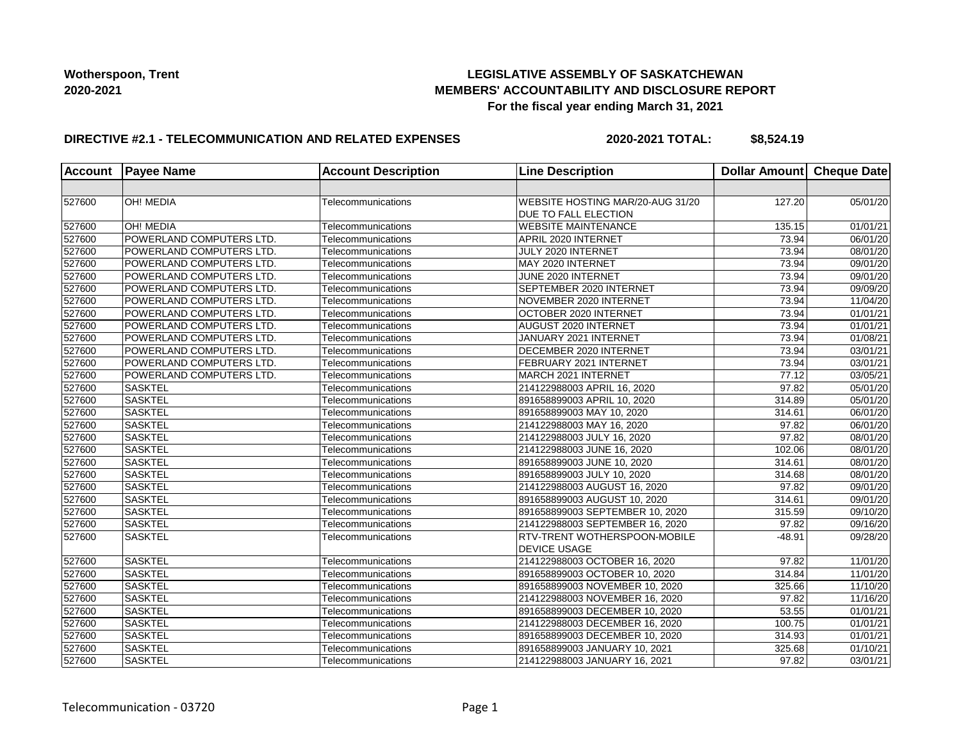## **LEGISLATIVE ASSEMBLY OF SASKATCHEWAN MEMBERS' ACCOUNTABILITY AND DISCLOSURE REPORT For the fiscal year ending March 31, 2021**

#### **DIRECTIVE #2.1 - TELECOMMUNICATION AND RELATED EXPENSES**

**2020-2021 TOTAL: \$8,524.19**

| <b>Account</b> | <b>Payee Name</b>        | <b>Account Description</b> | <b>Line Description</b>             | Dollar Amount Cheque Date |          |
|----------------|--------------------------|----------------------------|-------------------------------------|---------------------------|----------|
|                |                          |                            |                                     |                           |          |
| 527600         | OH! MEDIA                | Telecommunications         | WEBSITE HOSTING MAR/20-AUG 31/20    | 127.20                    | 05/01/20 |
|                |                          |                            | DUE TO FALL ELECTION                |                           |          |
| 527600         | <b>OH! MEDIA</b>         | Telecommunications         | <b>WEBSITE MAINTENANCE</b>          | 135.15                    | 01/01/21 |
| 527600         | POWERLAND COMPUTERS LTD. | Telecommunications         | APRIL 2020 INTERNET                 | 73.94                     | 06/01/20 |
| 527600         | POWERLAND COMPUTERS LTD. | Telecommunications         | JULY 2020 INTERNET                  | 73.94                     | 08/01/20 |
| 527600         | POWERLAND COMPUTERS LTD. | Telecommunications         | MAY 2020 INTERNET                   | 73.94                     | 09/01/20 |
| 527600         | POWERLAND COMPUTERS LTD. | Telecommunications         | JUNE 2020 INTERNET                  | 73.94                     | 09/01/20 |
| 527600         | POWERLAND COMPUTERS LTD. | Telecommunications         | SEPTEMBER 2020 INTERNET             | 73.94                     | 09/09/20 |
| 527600         | POWERLAND COMPUTERS LTD. | Telecommunications         | NOVEMBER 2020 INTERNET              | 73.94                     | 11/04/20 |
| 527600         | POWERLAND COMPUTERS LTD. | Telecommunications         | OCTOBER 2020 INTERNET               | 73.94                     | 01/01/21 |
| 527600         | POWERLAND COMPUTERS LTD. | Telecommunications         | <b>AUGUST 2020 INTERNET</b>         | 73.94                     | 01/01/21 |
| 527600         | POWERLAND COMPUTERS LTD. | Telecommunications         | JANUARY 2021 INTERNET               | 73.94                     | 01/08/21 |
| 527600         | POWERLAND COMPUTERS LTD. | Telecommunications         | DECEMBER 2020 INTERNET              | 73.94                     | 03/01/21 |
| 527600         | POWERLAND COMPUTERS LTD. | Telecommunications         | FEBRUARY 2021 INTERNET              | 73.94                     | 03/01/21 |
| 527600         | POWERLAND COMPUTERS LTD. | Telecommunications         | MARCH 2021 INTERNET                 | 77.12                     | 03/05/21 |
| 527600         | <b>SASKTEL</b>           | Telecommunications         | 214122988003 APRIL 16, 2020         | 97.82                     | 05/01/20 |
| 527600         | <b>SASKTEL</b>           | Telecommunications         | 891658899003 APRIL 10, 2020         | 314.89                    | 05/01/20 |
| 527600         | <b>SASKTEL</b>           | Telecommunications         | 891658899003 MAY 10, 2020           | 314.61                    | 06/01/20 |
| 527600         | <b>SASKTEL</b>           | Telecommunications         | 214122988003 MAY 16, 2020           | 97.82                     | 06/01/20 |
| 527600         | <b>SASKTEL</b>           | Telecommunications         | 214122988003 JULY 16, 2020          | 97.82                     | 08/01/20 |
| 527600         | <b>SASKTEL</b>           | Telecommunications         | 214122988003 JUNE 16, 2020          | 102.06                    | 08/01/20 |
| 527600         | <b>SASKTEL</b>           | Telecommunications         | 891658899003 JUNE 10, 2020          | 314.61                    | 08/01/20 |
| 527600         | <b>SASKTEL</b>           | Telecommunications         | 891658899003 JULY 10, 2020          | 314.68                    | 08/01/20 |
| 527600         | <b>SASKTEL</b>           | Telecommunications         | 214122988003 AUGUST 16, 2020        | 97.82                     | 09/01/20 |
| 527600         | <b>SASKTEL</b>           | Telecommunications         | 891658899003 AUGUST 10, 2020        | 314.61                    | 09/01/20 |
| 527600         | <b>SASKTEL</b>           | Telecommunications         | 891658899003 SEPTEMBER 10, 2020     | 315.59                    | 09/10/20 |
| 527600         | <b>SASKTEL</b>           | Telecommunications         | 214122988003 SEPTEMBER 16, 2020     | 97.82                     | 09/16/20 |
| 527600         | <b>SASKTEL</b>           | Telecommunications         | <b>RTV-TRENT WOTHERSPOON-MOBILE</b> | $-48.91$                  | 09/28/20 |
|                |                          |                            | <b>DEVICE USAGE</b>                 |                           |          |
| 527600         | <b>SASKTEL</b>           | Telecommunications         | 214122988003 OCTOBER 16, 2020       | 97.82                     | 11/01/20 |
| 527600         | <b>SASKTEL</b>           | Telecommunications         | 891658899003 OCTOBER 10, 2020       | 314.84                    | 11/01/20 |
| 527600         | <b>SASKTEL</b>           | Telecommunications         | 891658899003 NOVEMBER 10, 2020      | 325.66                    | 11/10/20 |
| 527600         | <b>SASKTEL</b>           | Telecommunications         | 214122988003 NOVEMBER 16, 2020      | 97.82                     | 11/16/20 |
| 527600         | <b>SASKTEL</b>           | Telecommunications         | 891658899003 DECEMBER 10, 2020      | 53.55                     | 01/01/21 |
| 527600         | <b>SASKTEL</b>           | Telecommunications         | 214122988003 DECEMBER 16, 2020      | 100.75                    | 01/01/21 |
| 527600         | <b>SASKTEL</b>           | Telecommunications         | 891658899003 DECEMBER 10, 2020      | 314.93                    | 01/01/21 |
| 527600         | <b>SASKTEL</b>           | Telecommunications         | 891658899003 JANUARY 10, 2021       | 325.68                    | 01/10/21 |
| 527600         | <b>SASKTEL</b>           | Telecommunications         | 214122988003 JANUARY 16, 2021       | 97.82                     | 03/01/21 |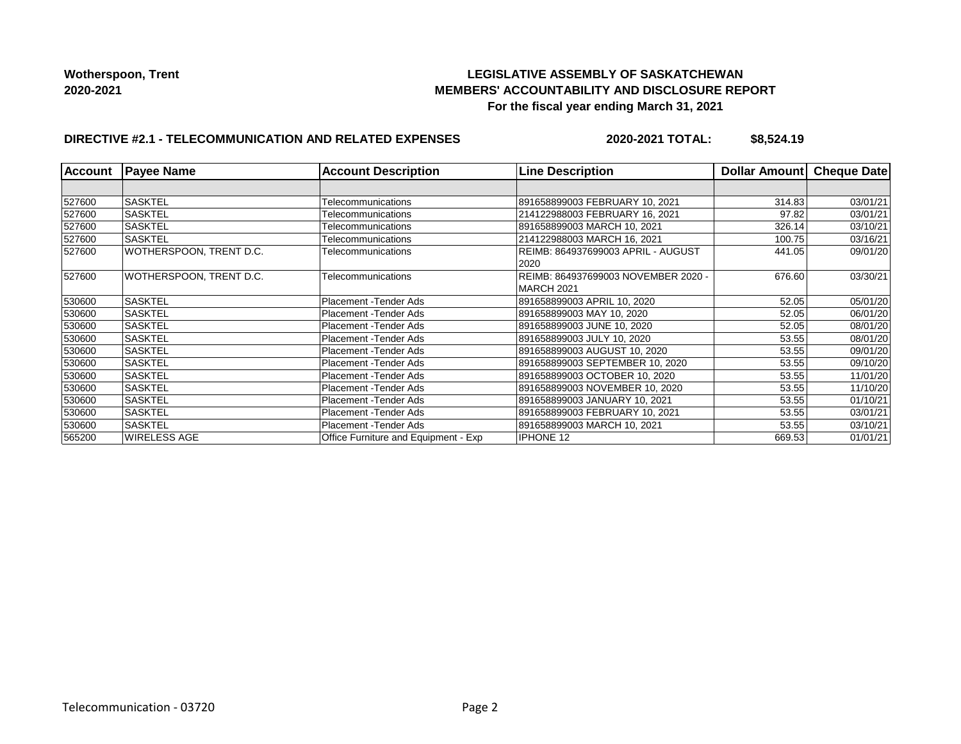## **LEGISLATIVE ASSEMBLY OF SASKATCHEWAN MEMBERS' ACCOUNTABILITY AND DISCLOSURE REPORT For the fiscal year ending March 31, 2021**

# **DIRECTIVE #2.1 - TELECOMMUNICATION AND RELATED EXPENSES**

**2020-2021 TOTAL: \$8,524.19**

|        | <b>Account Payee Name</b> | <b>Account Description</b>           | <b>Line Description</b>             | Dollar Amount | <b>Cheque Date</b> |
|--------|---------------------------|--------------------------------------|-------------------------------------|---------------|--------------------|
|        |                           |                                      |                                     |               |                    |
| 527600 | <b>SASKTEL</b>            | Telecommunications                   | 891658899003 FEBRUARY 10, 2021      | 314.83        | 03/01/21           |
| 527600 | <b>SASKTEL</b>            | Telecommunications                   | 214122988003 FEBRUARY 16, 2021      | 97.82         | 03/01/21           |
| 527600 | <b>SASKTEL</b>            | Telecommunications                   | 891658899003 MARCH 10, 2021         | 326.14        | 03/10/21           |
| 527600 | ISASKTEL                  | Telecommunications                   | 214122988003 MARCH 16, 2021         | 100.75        | 03/16/21           |
| 527600 | WOTHERSPOON, TRENT D.C.   | Telecommunications                   | REIMB: 864937699003 APRIL - AUGUST  | 441.05        | 09/01/20           |
|        |                           |                                      | 2020                                |               |                    |
| 527600 | WOTHERSPOON. TRENT D.C.   | Telecommunications                   | REIMB: 864937699003 NOVEMBER 2020 - | 676.60        | 03/30/21           |
|        |                           |                                      | MARCH 2021                          |               |                    |
| 530600 | <b>SASKTEL</b>            | Placement - Tender Ads               | 891658899003 APRIL 10, 2020         | 52.05         | 05/01/20           |
| 530600 | <b>SASKTEL</b>            | Placement - Tender Ads               | 891658899003 MAY 10, 2020           | 52.05         | 06/01/20           |
| 530600 | <b>SASKTEL</b>            | Placement - Tender Ads               | 891658899003 JUNE 10, 2020          | 52.05         | 08/01/20           |
| 530600 | <b>SASKTEL</b>            | Placement - Tender Ads               | 891658899003 JULY 10, 2020          | 53.55         | 08/01/20           |
| 530600 | SASKTEL                   | Placement - Tender Ads               | 891658899003 AUGUST 10, 2020        | 53.55         | 09/01/20           |
| 530600 | SASKTEL                   | Placement - Tender Ads               | 891658899003 SEPTEMBER 10, 2020     | 53.55         | 09/10/20           |
| 530600 | <b>SASKTEL</b>            | Placement - Tender Ads               | 891658899003 OCTOBER 10, 2020       | 53.55         | 11/01/20           |
| 530600 | <b>SASKTEL</b>            | Placement - Tender Ads               | 891658899003 NOVEMBER 10, 2020      | 53.55         | 11/10/20           |
| 530600 | <b>SASKTEL</b>            | Placement - Tender Ads               | 891658899003 JANUARY 10, 2021       | 53.55         | 01/10/21           |
| 530600 | <b>SASKTEL</b>            | Placement - Tender Ads               | 891658899003 FEBRUARY 10, 2021      | 53.55         | 03/01/21           |
| 530600 | SASKTEL                   | Placement - Tender Ads               | 891658899003 MARCH 10, 2021         | 53.55         | 03/10/21           |
| 565200 | WIRELESS AGE              | Office Furniture and Equipment - Exp | <b>IPHONE 12</b>                    | 669.53        | 01/01/21           |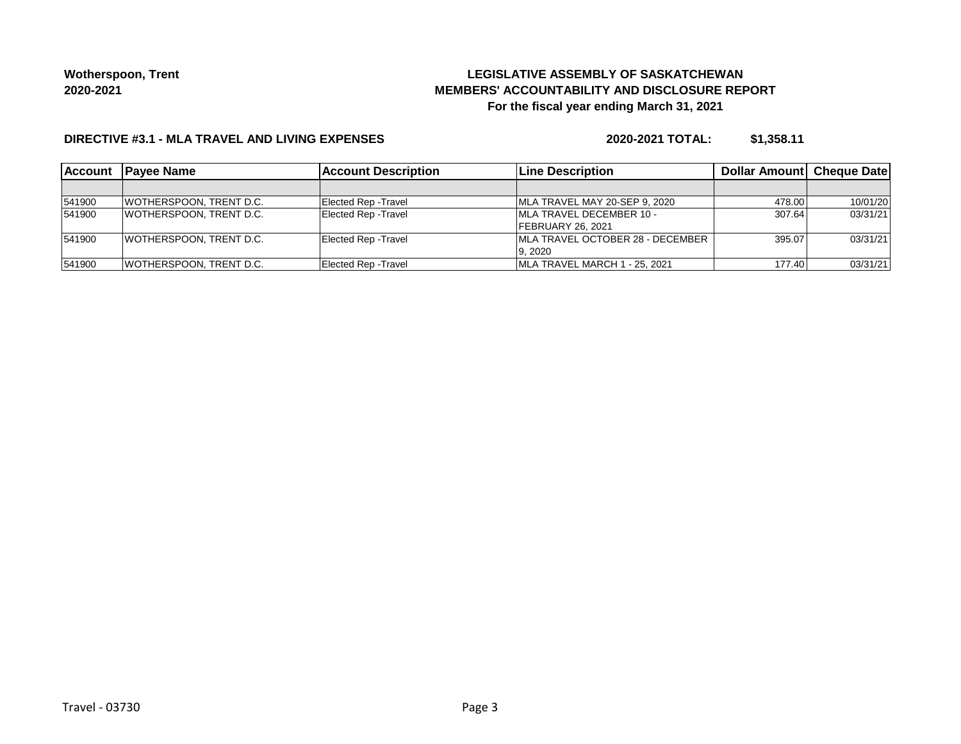# **LEGISLATIVE ASSEMBLY OF SASKATCHEWAN MEMBERS' ACCOUNTABILITY AND DISCLOSURE REPORT For the fiscal year ending March 31, 2021**

#### **DIRECTIVE #3.1 - MLA TRAVEL AND LIVING EXPENSES**

**2020-2021 TOTAL: \$1,358.11**

| <b>Account</b> | <b>IPavee Name</b>              | <b>Account Description</b>  | <b>Line Description</b>                  | Dollar Amount Cheque Date |          |
|----------------|---------------------------------|-----------------------------|------------------------------------------|---------------------------|----------|
|                |                                 |                             |                                          |                           |          |
| 541900         | WOTHERSPOON, TRENT D.C.         | Elected Rep - Travel        | MLA TRAVEL MAY 20-SEP 9, 2020            | 478.00                    | 10/01/20 |
| 541900         | <b>WOTHERSPOON. TRENT D.C.</b>  | <b>Elected Rep - Travel</b> | <b>IMLA TRAVEL DECEMBER 10 -</b>         | 307.64                    | 03/31/21 |
|                |                                 |                             | <b>IFEBRUARY 26, 2021</b>                |                           |          |
| 541900         | <b>WOTHERSPOON, TRENT D.C.</b>  | <b>Elected Rep - Travel</b> | <b>IMLA TRAVEL OCTOBER 28 - DECEMBER</b> | 395.07                    | 03/31/21 |
|                |                                 |                             | 9.2020                                   |                           |          |
| 541900         | <b>IWOTHERSPOON. TRENT D.C.</b> | <b>Elected Rep - Travel</b> | IMLA TRAVEL MARCH 1 - 25, 2021           | 177.40                    | 03/31/21 |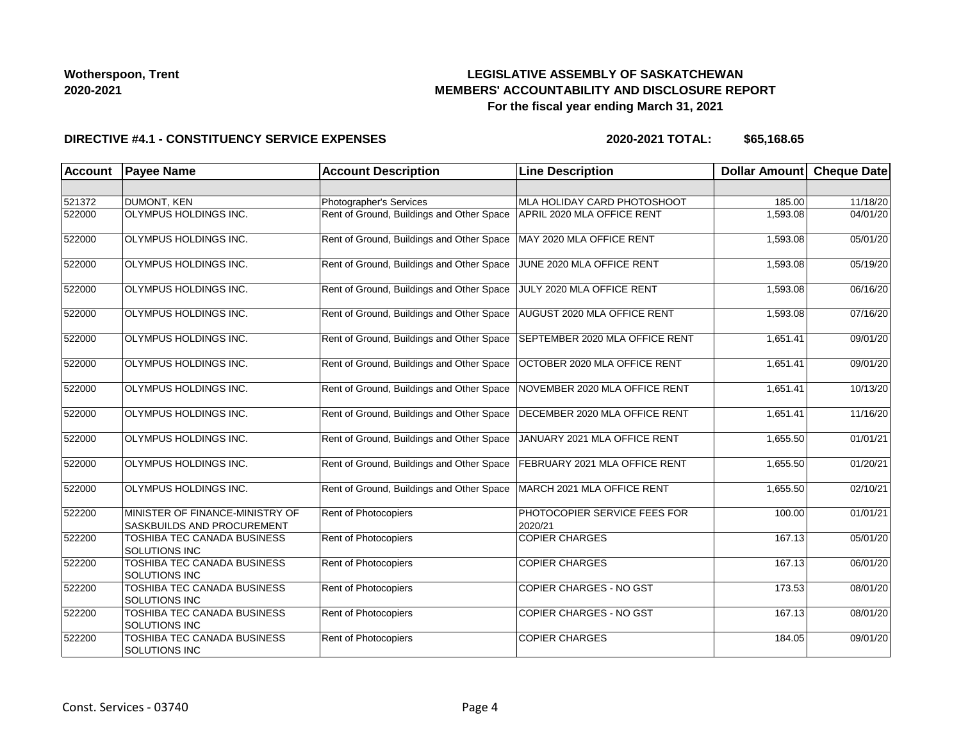## **LEGISLATIVE ASSEMBLY OF SASKATCHEWAN MEMBERS' ACCOUNTABILITY AND DISCLOSURE REPORT For the fiscal year ending March 31, 2021**

#### **DIRECTIVE #4.1 - CONSTITUENCY SERVICE EXPENSES**

| <b>Account</b> | <b>Payee Name</b>                                             | <b>Account Description</b>                | <b>Line Description</b>                 | <b>Dollar Amount</b> | <b>Cheque Date</b> |
|----------------|---------------------------------------------------------------|-------------------------------------------|-----------------------------------------|----------------------|--------------------|
|                |                                                               |                                           |                                         |                      |                    |
| 521372         | DUMONT, KEN                                                   | Photographer's Services                   | MLA HOLIDAY CARD PHOTOSHOOT             | 185.00               | 11/18/20           |
| 522000         | OLYMPUS HOLDINGS INC.                                         | Rent of Ground, Buildings and Other Space | APRIL 2020 MLA OFFICE RENT              | 1,593.08             | 04/01/20           |
| 522000         | OLYMPUS HOLDINGS INC.                                         | Rent of Ground, Buildings and Other Space | MAY 2020 MLA OFFICE RENT                | 1,593.08             | 05/01/20           |
| 522000         | OLYMPUS HOLDINGS INC.                                         | Rent of Ground, Buildings and Other Space | JUNE 2020 MLA OFFICE RENT               | 1,593.08             | 05/19/20           |
| 522000         | OLYMPUS HOLDINGS INC.                                         | Rent of Ground, Buildings and Other Space | JULY 2020 MLA OFFICE RENT               | 1,593.08             | 06/16/20           |
| 522000         | OLYMPUS HOLDINGS INC.                                         | Rent of Ground, Buildings and Other Space | AUGUST 2020 MLA OFFICE RENT             | 1,593.08             | 07/16/20           |
| 522000         | OLYMPUS HOLDINGS INC.                                         | Rent of Ground, Buildings and Other Space | SEPTEMBER 2020 MLA OFFICE RENT          | 1,651.41             | 09/01/20           |
| 522000         | OLYMPUS HOLDINGS INC.                                         | Rent of Ground, Buildings and Other Space | OCTOBER 2020 MLA OFFICE RENT            | 1,651.41             | 09/01/20           |
| 522000         | OLYMPUS HOLDINGS INC.                                         | Rent of Ground, Buildings and Other Space | NOVEMBER 2020 MLA OFFICE RENT           | 1,651.41             | 10/13/20           |
| 522000         | OLYMPUS HOLDINGS INC.                                         | Rent of Ground, Buildings and Other Space | DECEMBER 2020 MLA OFFICE RENT           | 1,651.41             | 11/16/20           |
| 522000         | OLYMPUS HOLDINGS INC.                                         | Rent of Ground, Buildings and Other Space | JANUARY 2021 MLA OFFICE RENT            | 1,655.50             | 01/01/21           |
| 522000         | OLYMPUS HOLDINGS INC.                                         | Rent of Ground, Buildings and Other Space | FEBRUARY 2021 MLA OFFICE RENT           | 1,655.50             | 01/20/21           |
| 522000         | OLYMPUS HOLDINGS INC.                                         | Rent of Ground, Buildings and Other Space | MARCH 2021 MLA OFFICE RENT              | 1,655.50             | 02/10/21           |
| 522200         | MINISTER OF FINANCE-MINISTRY OF<br>SASKBUILDS AND PROCUREMENT | Rent of Photocopiers                      | PHOTOCOPIER SERVICE FEES FOR<br>2020/21 | 100.00               | 01/01/21           |
| 522200         | TOSHIBA TEC CANADA BUSINESS<br><b>SOLUTIONS INC</b>           | Rent of Photocopiers                      | <b>COPIER CHARGES</b>                   | 167.13               | 05/01/20           |
| 522200         | TOSHIBA TEC CANADA BUSINESS<br>SOLUTIONS INC                  | Rent of Photocopiers                      | <b>COPIER CHARGES</b>                   | 167.13               | 06/01/20           |
| 522200         | TOSHIBA TEC CANADA BUSINESS<br>SOLUTIONS INC                  | Rent of Photocopiers                      | <b>COPIER CHARGES - NO GST</b>          | 173.53               | 08/01/20           |
| 522200         | TOSHIBA TEC CANADA BUSINESS<br><b>SOLUTIONS INC</b>           | Rent of Photocopiers                      | COPIER CHARGES - NO GST                 | 167.13               | 08/01/20           |
| 522200         | TOSHIBA TEC CANADA BUSINESS<br>SOLUTIONS INC                  | Rent of Photocopiers                      | <b>COPIER CHARGES</b>                   | 184.05               | 09/01/20           |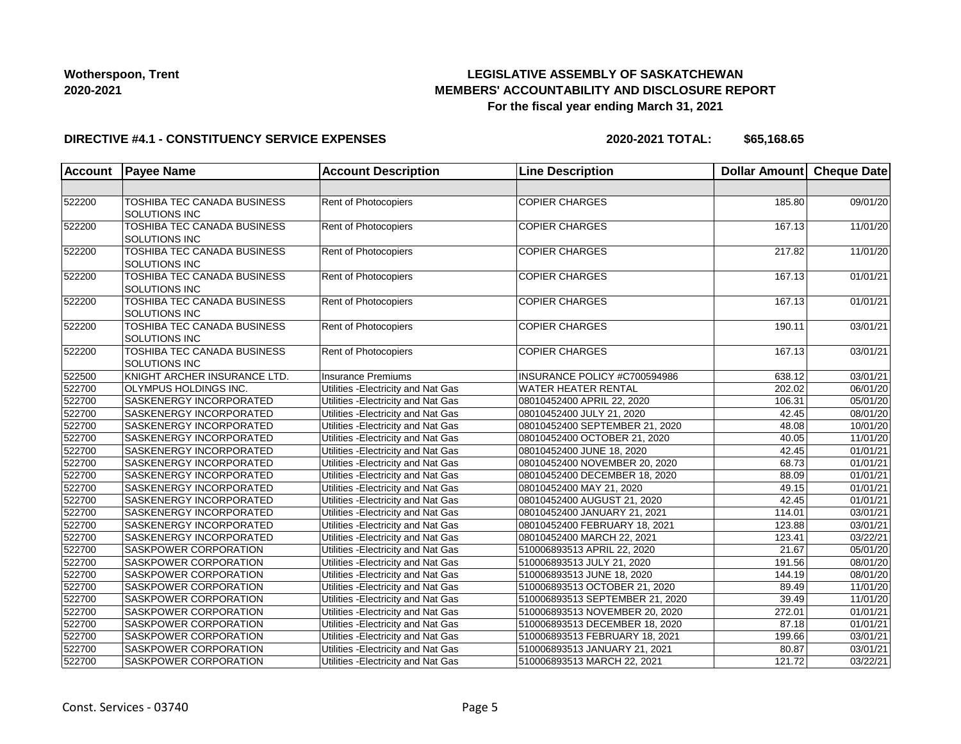## **LEGISLATIVE ASSEMBLY OF SASKATCHEWAN MEMBERS' ACCOUNTABILITY AND DISCLOSURE REPORT For the fiscal year ending March 31, 2021**

#### **DIRECTIVE #4.1 - CONSTITUENCY SERVICE EXPENSES**

| <b>Account</b> | <b>Payee Name</b>                                   | <b>Account Description</b>          | <b>Line Description</b>         | Dollar Amount Cheque Date |          |
|----------------|-----------------------------------------------------|-------------------------------------|---------------------------------|---------------------------|----------|
|                |                                                     |                                     |                                 |                           |          |
| 522200         | TOSHIBA TEC CANADA BUSINESS<br><b>SOLUTIONS INC</b> | Rent of Photocopiers                | <b>COPIER CHARGES</b>           | 185.80                    | 09/01/20 |
| 522200         | <b>TOSHIBA TEC CANADA BUSINESS</b><br>SOLUTIONS INC | Rent of Photocopiers                | <b>COPIER CHARGES</b>           | 167.13                    | 11/01/20 |
| 522200         | TOSHIBA TEC CANADA BUSINESS<br>SOLUTIONS INC        | Rent of Photocopiers                | <b>COPIER CHARGES</b>           | 217.82                    | 11/01/20 |
| 522200         | TOSHIBA TEC CANADA BUSINESS<br>SOLUTIONS INC        | Rent of Photocopiers                | <b>COPIER CHARGES</b>           | 167.13                    | 01/01/21 |
| 522200         | TOSHIBA TEC CANADA BUSINESS<br>SOLUTIONS INC        | <b>Rent of Photocopiers</b>         | <b>COPIER CHARGES</b>           | 167.13                    | 01/01/21 |
| 522200         | TOSHIBA TEC CANADA BUSINESS<br>SOLUTIONS INC        | Rent of Photocopiers                | <b>COPIER CHARGES</b>           | 190.11                    | 03/01/21 |
| 522200         | TOSHIBA TEC CANADA BUSINESS<br>SOLUTIONS INC        | Rent of Photocopiers                | <b>COPIER CHARGES</b>           | 167.13                    | 03/01/21 |
| 522500         | KNIGHT ARCHER INSURANCE LTD.                        | <b>Insurance Premiums</b>           | INSURANCE POLICY #C700594986    | 638.12                    | 03/01/21 |
| 522700         | OLYMPUS HOLDINGS INC.                               | Utilities - Electricity and Nat Gas | <b>WATER HEATER RENTAL</b>      | 202.02                    | 06/01/20 |
| 522700         | SASKENERGY INCORPORATED                             | Utilities - Electricity and Nat Gas | 08010452400 APRIL 22, 2020      | 106.31                    | 05/01/20 |
| 522700         | SASKENERGY INCORPORATED                             | Utilities - Electricity and Nat Gas | 08010452400 JULY 21, 2020       | 42.45                     | 08/01/20 |
| 522700         | SASKENERGY INCORPORATED                             | Utilities - Electricity and Nat Gas | 08010452400 SEPTEMBER 21, 2020  | 48.08                     | 10/01/20 |
| 522700         | SASKENERGY INCORPORATED                             | Utilities - Electricity and Nat Gas | 08010452400 OCTOBER 21, 2020    | 40.05                     | 11/01/20 |
| 522700         | SASKENERGY INCORPORATED                             | Utilities - Electricity and Nat Gas | 08010452400 JUNE 18, 2020       | 42.45                     | 01/01/21 |
| 522700         | SASKENERGY INCORPORATED                             | Utilities - Electricity and Nat Gas | 08010452400 NOVEMBER 20, 2020   | 68.73                     | 01/01/21 |
| 522700         | SASKENERGY INCORPORATED                             | Utilities - Electricity and Nat Gas | 08010452400 DECEMBER 18, 2020   | 88.09                     | 01/01/21 |
| 522700         | SASKENERGY INCORPORATED                             | Utilities - Electricity and Nat Gas | 08010452400 MAY 21, 2020        | 49.15                     | 01/01/21 |
| 522700         | SASKENERGY INCORPORATED                             | Utilities - Electricity and Nat Gas | 08010452400 AUGUST 21, 2020     | 42.45                     | 01/01/21 |
| 522700         | <b>SASKENERGY INCORPORATED</b>                      | Utilities - Electricity and Nat Gas | 08010452400 JANUARY 21, 2021    | 114.01                    | 03/01/21 |
| 522700         | SASKENERGY INCORPORATED                             | Utilities - Electricity and Nat Gas | 08010452400 FEBRUARY 18, 2021   | 123.88                    | 03/01/21 |
| 522700         | SASKENERGY INCORPORATED                             | Utilities - Electricity and Nat Gas | 08010452400 MARCH 22, 2021      | 123.41                    | 03/22/21 |
| 522700         | SASKPOWER CORPORATION                               | Utilities - Electricity and Nat Gas | 510006893513 APRIL 22, 2020     | 21.67                     | 05/01/20 |
| 522700         | SASKPOWER CORPORATION                               | Utilities - Electricity and Nat Gas | 510006893513 JULY 21, 2020      | 191.56                    | 08/01/20 |
| 522700         | <b>SASKPOWER CORPORATION</b>                        | Utilities - Electricity and Nat Gas | 510006893513 JUNE 18, 2020      | 144.19                    | 08/01/20 |
| 522700         | SASKPOWER CORPORATION                               | Utilities - Electricity and Nat Gas | 510006893513 OCTOBER 21, 2020   | 89.49                     | 11/01/20 |
| 522700         | SASKPOWER CORPORATION                               | Utilities - Electricity and Nat Gas | 510006893513 SEPTEMBER 21, 2020 | 39.49                     | 11/01/20 |
| 522700         | <b>SASKPOWER CORPORATION</b>                        | Utilities - Electricity and Nat Gas | 510006893513 NOVEMBER 20, 2020  | 272.01                    | 01/01/21 |
| 522700         | SASKPOWER CORPORATION                               | Utilities - Electricity and Nat Gas | 510006893513 DECEMBER 18, 2020  | 87.18                     | 01/01/21 |
| 522700         | SASKPOWER CORPORATION                               | Utilities - Electricity and Nat Gas | 510006893513 FEBRUARY 18, 2021  | 199.66                    | 03/01/21 |
| 522700         | SASKPOWER CORPORATION                               | Utilities - Electricity and Nat Gas | 510006893513 JANUARY 21, 2021   | 80.87                     | 03/01/21 |
| 522700         | SASKPOWER CORPORATION                               | Utilities - Electricity and Nat Gas | 510006893513 MARCH 22, 2021     | 121.72                    | 03/22/21 |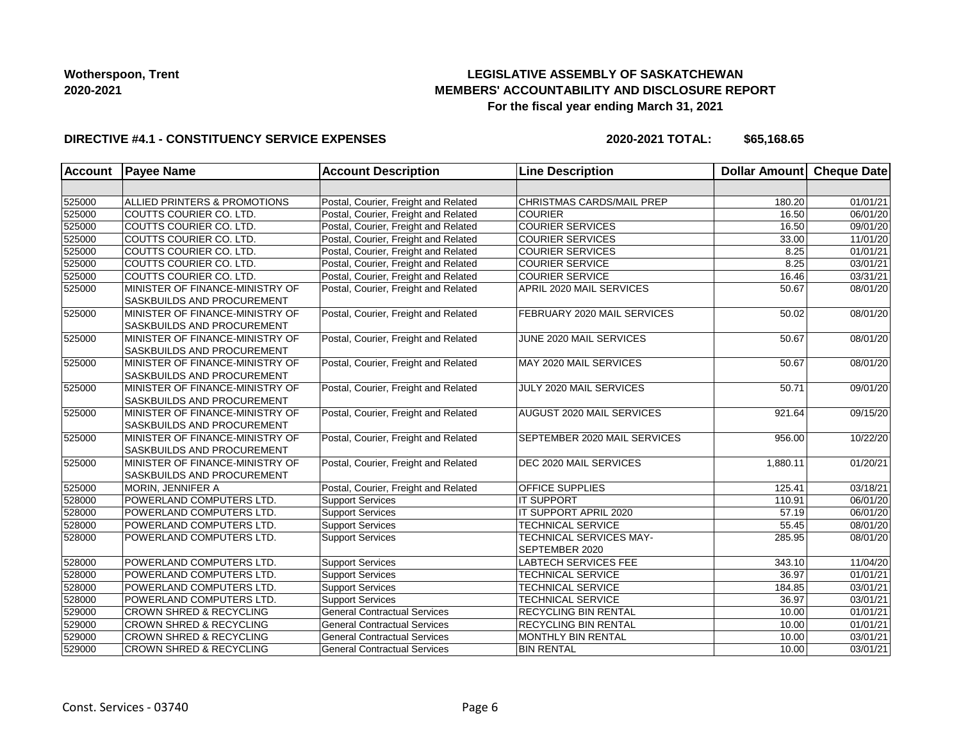## **LEGISLATIVE ASSEMBLY OF SASKATCHEWAN MEMBERS' ACCOUNTABILITY AND DISCLOSURE REPORT For the fiscal year ending March 31, 2021**

#### **DIRECTIVE #4.1 - CONSTITUENCY SERVICE EXPENSES**

| Account | <b>Payee Name</b>                                                    | <b>Account Description</b>           | <b>Line Description</b>                          | Dollar Amount Cheque Date |                       |
|---------|----------------------------------------------------------------------|--------------------------------------|--------------------------------------------------|---------------------------|-----------------------|
|         |                                                                      |                                      |                                                  |                           |                       |
| 525000  | ALLIED PRINTERS & PROMOTIONS                                         | Postal, Courier, Freight and Related | CHRISTMAS CARDS/MAIL PREP                        | 180.20                    | 01/01/21              |
| 525000  | COUTTS COURIER CO. LTD.                                              | Postal, Courier, Freight and Related | <b>COURIER</b>                                   | 16.50                     | 06/01/20              |
| 525000  | COUTTS COURIER CO. LTD.                                              | Postal, Courier, Freight and Related | <b>COURIER SERVICES</b>                          | 16.50                     | 09/01/20              |
| 525000  | COUTTS COURIER CO. LTD.                                              | Postal, Courier, Freight and Related | <b>COURIER SERVICES</b>                          | 33.00                     | 11/01/20              |
| 525000  | COUTTS COURIER CO. LTD.                                              | Postal, Courier, Freight and Related | <b>COURIER SERVICES</b>                          | 8.25                      | 01/01/21              |
| 525000  | COUTTS COURIER CO. LTD.                                              | Postal, Courier, Freight and Related | <b>COURIER SERVICE</b>                           | 8.25                      | 03/01/21              |
| 525000  | COUTTS COURIER CO. LTD.                                              | Postal, Courier, Freight and Related | <b>COURIER SERVICE</b>                           | 16.46                     | 03/31/21              |
| 525000  | MINISTER OF FINANCE-MINISTRY OF<br><b>SASKBUILDS AND PROCUREMENT</b> | Postal, Courier, Freight and Related | APRIL 2020 MAIL SERVICES                         | 50.67                     | 08/01/20              |
| 525000  | MINISTER OF FINANCE-MINISTRY OF<br>SASKBUILDS AND PROCUREMENT        | Postal, Courier, Freight and Related | FEBRUARY 2020 MAIL SERVICES                      | 50.02                     | 08/01/20              |
| 525000  | MINISTER OF FINANCE-MINISTRY OF<br>SASKBUILDS AND PROCUREMENT        | Postal, Courier, Freight and Related | JUNE 2020 MAIL SERVICES                          | 50.67                     | 08/01/20              |
| 525000  | MINISTER OF FINANCE-MINISTRY OF<br><b>SASKBUILDS AND PROCUREMENT</b> | Postal, Courier, Freight and Related | MAY 2020 MAIL SERVICES                           | 50.67                     | 08/01/20              |
| 525000  | MINISTER OF FINANCE-MINISTRY OF<br>SASKBUILDS AND PROCUREMENT        | Postal, Courier, Freight and Related | JULY 2020 MAIL SERVICES                          | 50.71                     | 09/01/20              |
| 525000  | MINISTER OF FINANCE-MINISTRY OF<br><b>SASKBUILDS AND PROCUREMENT</b> | Postal, Courier, Freight and Related | AUGUST 2020 MAIL SERVICES                        | 921.64                    | 09/15/20              |
| 525000  | MINISTER OF FINANCE-MINISTRY OF<br><b>SASKBUILDS AND PROCUREMENT</b> | Postal, Courier, Freight and Related | SEPTEMBER 2020 MAIL SERVICES                     | 956.00                    | 10/22/20              |
| 525000  | MINISTER OF FINANCE-MINISTRY OF<br><b>SASKBUILDS AND PROCUREMENT</b> | Postal, Courier, Freight and Related | DEC 2020 MAIL SERVICES                           | 1,880.11                  | 01/20/21              |
| 525000  | MORIN, JENNIFER A                                                    | Postal, Courier, Freight and Related | OFFICE SUPPLIES                                  | 125.41                    | 03/18/21              |
| 528000  | POWERLAND COMPUTERS LTD.                                             | <b>Support Services</b>              | <b>IT SUPPORT</b>                                | 110.91                    | 06/01/20              |
| 528000  | POWERLAND COMPUTERS LTD.                                             | <b>Support Services</b>              | IT SUPPORT APRIL 2020                            | 57.19                     | 06/01/20              |
| 528000  | POWERLAND COMPUTERS LTD.                                             | <b>Support Services</b>              | <b>TECHNICAL SERVICE</b>                         | 55.45                     | 08/01/20              |
| 528000  | POWERLAND COMPUTERS LTD.                                             | <b>Support Services</b>              | <b>TECHNICAL SERVICES MAY-</b><br>SEPTEMBER 2020 | 285.95                    | 08/01/20              |
| 528000  | POWERLAND COMPUTERS LTD.                                             | <b>Support Services</b>              | <b>LABTECH SERVICES FEE</b>                      | 343.10                    | 11/04/20              |
| 528000  | POWERLAND COMPUTERS LTD.                                             | <b>Support Services</b>              | <b>TECHNICAL SERVICE</b>                         | 36.97                     | $\overline{01/01/21}$ |
| 528000  | POWERLAND COMPUTERS LTD.                                             | Support Services                     | <b>TECHNICAL SERVICE</b>                         | 184.85                    | 03/01/21              |
| 528000  | POWERLAND COMPUTERS LTD.                                             | <b>Support Services</b>              | <b>TECHNICAL SERVICE</b>                         | 36.97                     | 03/01/21              |
| 529000  | <b>CROWN SHRED &amp; RECYCLING</b>                                   | <b>General Contractual Services</b>  | RECYCLING BIN RENTAL                             | 10.00                     | $\overline{01/0}1/21$ |
| 529000  | <b>CROWN SHRED &amp; RECYCLING</b>                                   | <b>General Contractual Services</b>  | RECYCLING BIN RENTAL                             | 10.00                     | 01/01/21              |
| 529000  | <b>CROWN SHRED &amp; RECYCLING</b>                                   | <b>General Contractual Services</b>  | MONTHLY BIN RENTAL                               | 10.00                     | 03/01/21              |
| 529000  | <b>CROWN SHRED &amp; RECYCLING</b>                                   | <b>General Contractual Services</b>  | <b>BIN RENTAL</b>                                | 10.00                     | 03/01/21              |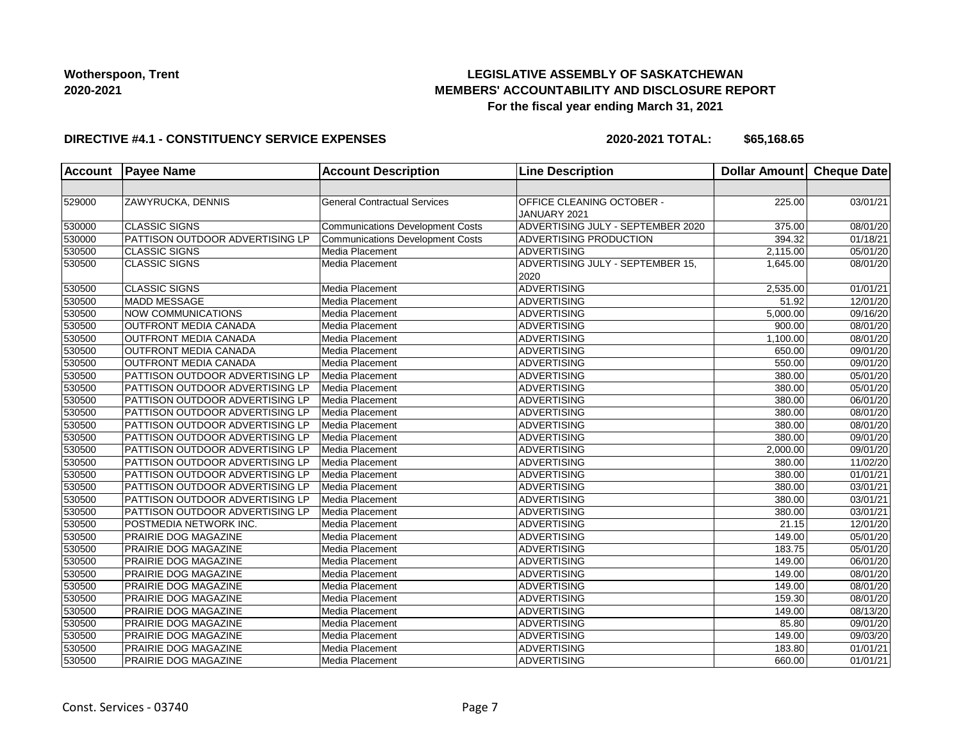## **LEGISLATIVE ASSEMBLY OF SASKATCHEWAN MEMBERS' ACCOUNTABILITY AND DISCLOSURE REPORT For the fiscal year ending March 31, 2021**

#### **DIRECTIVE #4.1 - CONSTITUENCY SERVICE EXPENSES**

| <b>Account</b> | <b>Payee Name</b>                      | <b>Account Description</b>              | <b>Line Description</b>                   | Dollar Amount Cheque Date |                       |
|----------------|----------------------------------------|-----------------------------------------|-------------------------------------------|---------------------------|-----------------------|
|                |                                        |                                         |                                           |                           |                       |
| 529000         | ZAWYRUCKA, DENNIS                      | <b>General Contractual Services</b>     | OFFICE CLEANING OCTOBER -<br>JANUARY 2021 | 225.00                    | 03/01/21              |
| 530000         | <b>CLASSIC SIGNS</b>                   | <b>Communications Development Costs</b> | ADVERTISING JULY - SEPTEMBER 2020         | 375.00                    | 08/01/20              |
| 530000         | PATTISON OUTDOOR ADVERTISING LP        | <b>Communications Development Costs</b> | <b>ADVERTISING PRODUCTION</b>             | 394.32                    | $\overline{01/18/21}$ |
| 530500         | <b>CLASSIC SIGNS</b>                   | Media Placement                         | <b>ADVERTISING</b>                        | 2,115.00                  | 05/01/20              |
| 530500         | <b>CLASSIC SIGNS</b>                   | Media Placement                         | ADVERTISING JULY - SEPTEMBER 15,<br>2020  | 1,645.00                  | 08/01/20              |
| 530500         | <b>CLASSIC SIGNS</b>                   | Media Placement                         | <b>ADVERTISING</b>                        | 2,535.00                  | 01/01/21              |
| 530500         | <b>MADD MESSAGE</b>                    | Media Placement                         | ADVERTISING                               | 51.92                     | 12/01/20              |
| 530500         | NOW COMMUNICATIONS                     | Media Placement                         | <b>ADVERTISING</b>                        | 5,000.00                  | $\overline{09}/16/20$ |
| 530500         | OUTFRONT MEDIA CANADA                  | Media Placement                         | <b>ADVERTISING</b>                        | 900.00                    | 08/01/20              |
| 530500         | <b>OUTFRONT MEDIA CANADA</b>           | Media Placement                         | <b>ADVERTISING</b>                        | 1,100.00                  | 08/01/20              |
| 530500         | OUTFRONT MEDIA CANADA                  | Media Placement                         | <b>ADVERTISING</b>                        | 650.00                    | 09/01/20              |
| 530500         | OUTFRONT MEDIA CANADA                  | Media Placement                         | ADVERTISING                               | 550.00                    | 09/01/20              |
| 530500         | PATTISON OUTDOOR ADVERTISING LP        | Media Placement                         | ADVERTISING                               | 380.00                    | 05/01/20              |
| 530500         | PATTISON OUTDOOR ADVERTISING LP        | Media Placement                         | <b>ADVERTISING</b>                        | 380.00                    | 05/01/20              |
| 530500         | PATTISON OUTDOOR ADVERTISING LP        | Media Placement                         | <b>ADVERTISING</b>                        | 380.00                    | 06/01/20              |
| 530500         | PATTISON OUTDOOR ADVERTISING LP        | Media Placement                         | <b>ADVERTISING</b>                        | 380.00                    | 08/01/20              |
| 530500         | PATTISON OUTDOOR ADVERTISING LP        | Media Placement                         | <b>ADVERTISING</b>                        | 380.00                    | 08/01/20              |
| 530500         | PATTISON OUTDOOR ADVERTISING LP        | Media Placement                         | ADVERTISING                               | 380.00                    | 09/01/20              |
| 530500         | PATTISON OUTDOOR ADVERTISING LP        | Media Placement                         | ADVERTISING                               | 2,000.00                  | 09/01/20              |
| 530500         | <b>PATTISON OUTDOOR ADVERTISING LP</b> | Media Placement                         | <b>ADVERTISING</b>                        | 380.00                    | 11/02/20              |
| 530500         | PATTISON OUTDOOR ADVERTISING LP        | Media Placement                         | <b>ADVERTISING</b>                        | 380.00                    | 01/01/21              |
| 530500         | PATTISON OUTDOOR ADVERTISING LP        | Media Placement                         | <b>ADVERTISING</b>                        | 380.00                    | 03/01/21              |
| 530500         | PATTISON OUTDOOR ADVERTISING LP        | Media Placement                         | <b>ADVERTISING</b>                        | 380.00                    | 03/01/21              |
| 530500         | PATTISON OUTDOOR ADVERTISING LP        | Media Placement                         | ADVERTISING                               | 380.00                    | 03/01/21              |
| 530500         | POSTMEDIA NETWORK INC.                 | Media Placement                         | ADVERTISING                               | 21.15                     | 12/01/20              |
| 530500         | <b>PRAIRIE DOG MAGAZINE</b>            | Media Placement                         | <b>ADVERTISING</b>                        | 149.00                    | 05/01/20              |
| 530500         | PRAIRIE DOG MAGAZINE                   | Media Placement                         | <b>ADVERTISING</b>                        | 183.75                    | 05/01/20              |
| 530500         | PRAIRIE DOG MAGAZINE                   | Media Placement                         | <b>ADVERTISING</b>                        | 149.00                    | 06/01/20              |
| 530500         | <b>PRAIRIE DOG MAGAZINE</b>            | Media Placement                         | <b>ADVERTISING</b>                        | 149.00                    | 08/01/20              |
| 530500         | PRAIRIE DOG MAGAZINE                   | Media Placement                         | ADVERTISING                               | 149.00                    | 08/01/20              |
| 530500         | <b>PRAIRIE DOG MAGAZINE</b>            | Media Placement                         | ADVERTISING                               | 159.30                    | 08/01/20              |
| 530500         | PRAIRIE DOG MAGAZINE                   | Media Placement                         | <b>ADVERTISING</b>                        | 149.00                    | 08/13/20              |
| 530500         | PRAIRIE DOG MAGAZINE                   | Media Placement                         | <b>ADVERTISING</b>                        | 85.80                     | 09/01/20              |
| 530500         | <b>PRAIRIE DOG MAGAZINE</b>            | Media Placement                         | <b>ADVERTISING</b>                        | 149.00                    | 09/03/20              |
| 530500         | <b>PRAIRIE DOG MAGAZINE</b>            | Media Placement                         | <b>ADVERTISING</b>                        | 183.80                    | 01/01/21              |
| 530500         | PRAIRIE DOG MAGAZINE                   | Media Placement                         | ADVERTISING                               | 660.00                    | 01/01/21              |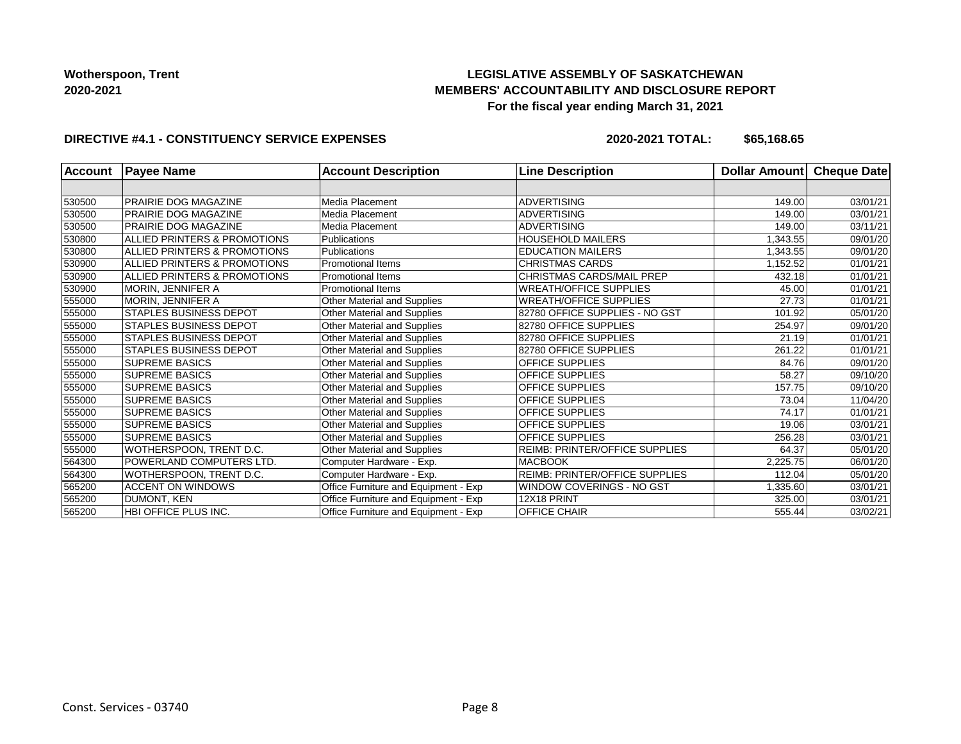## **LEGISLATIVE ASSEMBLY OF SASKATCHEWAN MEMBERS' ACCOUNTABILITY AND DISCLOSURE REPORT For the fiscal year ending March 31, 2021**

#### **DIRECTIVE #4.1 - CONSTITUENCY SERVICE EXPENSES**

| Account | <b>Payee Name</b>             | <b>Account Description</b>           | <b>Line Description</b>               | Dollar Amount | <b>Cheque Date</b> |
|---------|-------------------------------|--------------------------------------|---------------------------------------|---------------|--------------------|
|         |                               |                                      |                                       |               |                    |
| 530500  | PRAIRIE DOG MAGAZINE          | Media Placement                      | <b>ADVERTISING</b>                    | 149.00        | 03/01/21           |
| 530500  | PRAIRIE DOG MAGAZINE          | Media Placement                      | <b>ADVERTISING</b>                    | 149.00        | 03/01/21           |
| 530500  | PRAIRIE DOG MAGAZINE          | Media Placement                      | <b>ADVERTISING</b>                    | 149.00        | 03/11/21           |
| 530800  | ALLIED PRINTERS & PROMOTIONS  | <b>Publications</b>                  | <b>HOUSEHOLD MAILERS</b>              | 1,343.55      | 09/01/20           |
| 530800  | ALLIED PRINTERS & PROMOTIONS  | <b>Publications</b>                  | <b>EDUCATION MAILERS</b>              | 1,343.55      | 09/01/20           |
| 530900  | ALLIED PRINTERS & PROMOTIONS  | <b>Promotional Items</b>             | <b>CHRISTMAS CARDS</b>                | 1,152.52      | 01/01/21           |
| 530900  | ALLIED PRINTERS & PROMOTIONS  | <b>Promotional Items</b>             | CHRISTMAS CARDS/MAIL PREP             | 432.18        | 01/01/21           |
| 530900  | MORIN, JENNIFER A             | <b>Promotional Items</b>             | <b>WREATH/OFFICE SUPPLIES</b>         | 45.00         | 01/01/21           |
| 555000  | MORIN, JENNIFER A             | Other Material and Supplies          | <b>WREATH/OFFICE SUPPLIES</b>         | 27.73         | 01/01/21           |
| 555000  | <b>STAPLES BUSINESS DEPOT</b> | Other Material and Supplies          | 82780 OFFICE SUPPLIES - NO GST        | 101.92        | 05/01/20           |
| 555000  | STAPLES BUSINESS DEPOT        | Other Material and Supplies          | 82780 OFFICE SUPPLIES                 | 254.97        | 09/01/20           |
| 555000  | <b>STAPLES BUSINESS DEPOT</b> | <b>Other Material and Supplies</b>   | 82780 OFFICE SUPPLIES                 | 21.19         | 01/01/21           |
| 555000  | <b>STAPLES BUSINESS DEPOT</b> | Other Material and Supplies          | 82780 OFFICE SUPPLIES                 | 261.22        | 01/01/21           |
| 555000  | <b>SUPREME BASICS</b>         | Other Material and Supplies          | OFFICE SUPPLIES                       | 84.76         | 09/01/20           |
| 555000  | <b>SUPREME BASICS</b>         | <b>Other Material and Supplies</b>   | OFFICE SUPPLIES                       | 58.27         | 09/10/20           |
| 555000  | <b>SUPREME BASICS</b>         | Other Material and Supplies          | <b>OFFICE SUPPLIES</b>                | 157.75        | 09/10/20           |
| 555000  | <b>SUPREME BASICS</b>         | Other Material and Supplies          | <b>OFFICE SUPPLIES</b>                | 73.04         | 11/04/20           |
| 555000  | <b>SUPREME BASICS</b>         | Other Material and Supplies          | <b>OFFICE SUPPLIES</b>                | 74.17         | 01/01/21           |
| 555000  | <b>SUPREME BASICS</b>         | Other Material and Supplies          | <b>OFFICE SUPPLIES</b>                | 19.06         | 03/01/21           |
| 555000  | <b>SUPREME BASICS</b>         | Other Material and Supplies          | <b>OFFICE SUPPLIES</b>                | 256.28        | 03/01/21           |
| 555000  | WOTHERSPOON, TRENT D.C.       | Other Material and Supplies          | <b>REIMB: PRINTER/OFFICE SUPPLIES</b> | 64.37         | 05/01/20           |
| 564300  | POWERLAND COMPUTERS LTD.      | Computer Hardware - Exp.             | <b>MACBOOK</b>                        | 2,225.75      | 06/01/20           |
| 564300  | WOTHERSPOON, TRENT D.C.       | Computer Hardware - Exp.             | <b>REIMB: PRINTER/OFFICE SUPPLIES</b> | 112.04        | 05/01/20           |
| 565200  | <b>ACCENT ON WINDOWS</b>      | Office Furniture and Equipment - Exp | WINDOW COVERINGS - NO GST             | 1,335.60      | 03/01/21           |
| 565200  | <b>DUMONT, KEN</b>            | Office Furniture and Equipment - Exp | 12X18 PRINT                           | 325.00        | 03/01/21           |
| 565200  | HBI OFFICE PLUS INC.          | Office Furniture and Equipment - Exp | OFFICE CHAIR                          | 555.44        | 03/02/21           |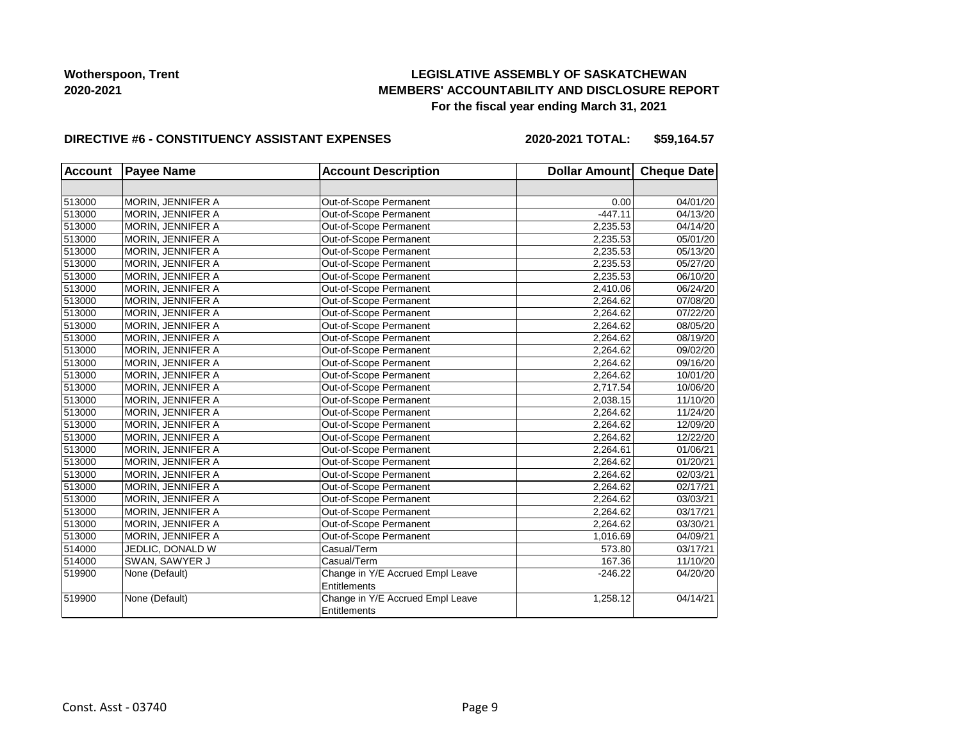## **LEGISLATIVE ASSEMBLY OF SASKATCHEWAN MEMBERS' ACCOUNTABILITY AND DISCLOSURE REPORT For the fiscal year ending March 31, 2021**

#### **DIRECTIVE #6 - CONSTITUENCY ASSISTANT EXPENSES**

| <b>Account</b> | <b>Payee Name</b>        | <b>Account Description</b>       | Dollar Amount Cheque Date |          |
|----------------|--------------------------|----------------------------------|---------------------------|----------|
|                |                          |                                  |                           |          |
| 513000         | MORIN, JENNIFER A        | Out-of-Scope Permanent           | 0.00                      | 04/01/20 |
| 513000         | MORIN, JENNIFER A        | Out-of-Scope Permanent           | $-447.11$                 | 04/13/20 |
| 513000         | MORIN, JENNIFER A        | Out-of-Scope Permanent           | 2,235.53                  | 04/14/20 |
| 513000         | MORIN, JENNIFER A        | Out-of-Scope Permanent           | 2,235.53                  | 05/01/20 |
| 513000         | MORIN, JENNIFER A        | Out-of-Scope Permanent           | 2,235.53                  | 05/13/20 |
| 513000         | MORIN, JENNIFER A        | Out-of-Scope Permanent           | 2,235.53                  | 05/27/20 |
| 513000         | MORIN, JENNIFER A        | Out-of-Scope Permanent           | 2,235.53                  | 06/10/20 |
| 513000         | MORIN, JENNIFER A        | Out-of-Scope Permanent           | 2,410.06                  | 06/24/20 |
| 513000         | MORIN, JENNIFER A        | Out-of-Scope Permanent           | 2,264.62                  | 07/08/20 |
| 513000         | MORIN, JENNIFER A        | Out-of-Scope Permanent           | 2,264.62                  | 07/22/20 |
| 513000         | MORIN, JENNIFER A        | Out-of-Scope Permanent           | 2,264.62                  | 08/05/20 |
| 513000         | MORIN, JENNIFER A        | Out-of-Scope Permanent           | 2,264.62                  | 08/19/20 |
| 513000         | MORIN, JENNIFER A        | Out-of-Scope Permanent           | 2,264.62                  | 09/02/20 |
| 513000         | MORIN, JENNIFER A        | Out-of-Scope Permanent           | 2,264.62                  | 09/16/20 |
| 513000         | MORIN, JENNIFER A        | Out-of-Scope Permanent           | 2,264.62                  | 10/01/20 |
| 513000         | MORIN, JENNIFER A        | Out-of-Scope Permanent           | 2,717.54                  | 10/06/20 |
| 513000         | MORIN, JENNIFER A        | Out-of-Scope Permanent           | 2,038.15                  | 11/10/20 |
| 513000         | <b>MORIN, JENNIFER A</b> | Out-of-Scope Permanent           | 2,264.62                  | 11/24/20 |
| 513000         | MORIN, JENNIFER A        | Out-of-Scope Permanent           | 2,264.62                  | 12/09/20 |
| 513000         | MORIN, JENNIFER A        | Out-of-Scope Permanent           | 2,264.62                  | 12/22/20 |
| 513000         | MORIN, JENNIFER A        | Out-of-Scope Permanent           | 2,264.61                  | 01/06/21 |
| 513000         | MORIN, JENNIFER A        | Out-of-Scope Permanent           | 2,264.62                  | 01/20/21 |
| 513000         | MORIN, JENNIFER A        | Out-of-Scope Permanent           | 2,264.62                  | 02/03/21 |
| 513000         | MORIN, JENNIFER A        | Out-of-Scope Permanent           | 2,264.62                  | 02/17/21 |
| 513000         | MORIN, JENNIFER A        | Out-of-Scope Permanent           | 2,264.62                  | 03/03/21 |
| 513000         | MORIN, JENNIFER A        | Out-of-Scope Permanent           | 2,264.62                  | 03/17/21 |
| 513000         | MORIN, JENNIFER A        | Out-of-Scope Permanent           | 2,264.62                  | 03/30/21 |
| 513000         | MORIN, JENNIFER A        | Out-of-Scope Permanent           | 1,016.69                  | 04/09/21 |
| 514000         | JEDLIC, DONALD W         | Casual/Term                      | 573.80                    | 03/17/21 |
| 514000         | SWAN, SAWYER J           | Casual/Term                      | 167.36                    | 11/10/20 |
| 519900         | None (Default)           | Change in Y/E Accrued Empl Leave | $-246.22$                 | 04/20/20 |
|                |                          | <b>Entitlements</b>              |                           |          |
| 519900         | None (Default)           | Change in Y/E Accrued Empl Leave | 1,258.12                  | 04/14/21 |
|                |                          | <b>Entitlements</b>              |                           |          |